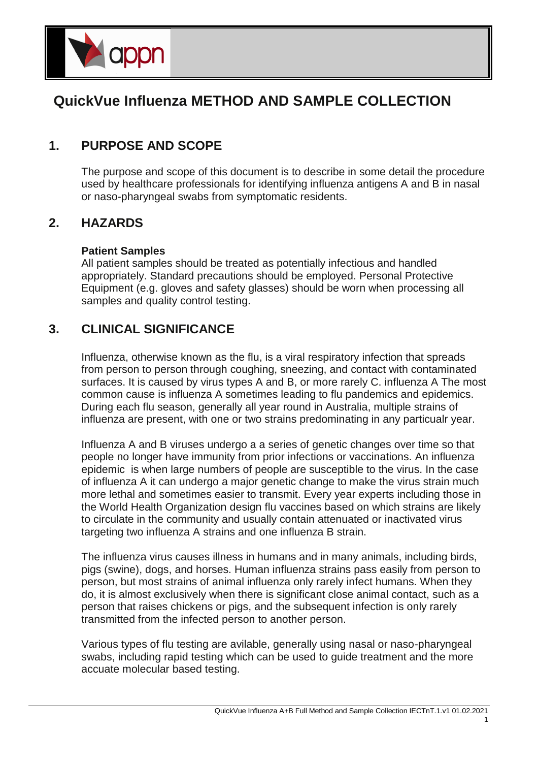

## **QuickVue Influenza METHOD AND SAMPLE COLLECTION**

## **1. PURPOSE AND SCOPE**

The purpose and scope of this document is to describe in some detail the procedure used by healthcare professionals for identifying influenza antigens A and B in nasal or naso-pharyngeal swabs from symptomatic residents.

### **2. HAZARDS**

#### **Patient Samples**

All patient samples should be treated as potentially infectious and handled appropriately. Standard precautions should be employed. Personal Protective Equipment (e.g. gloves and safety glasses) should be worn when processing all samples and quality control testing.

## **3. CLINICAL SIGNIFICANCE**

Influenza, otherwise known as the flu, is a viral respiratory infection that spreads from person to person through coughing, sneezing, and contact with contaminated surfaces. It is caused by virus types A and B, or more rarely C. influenza A The most common cause is influenza A sometimes leading to flu pandemics and epidemics. During each flu season, generally all year round in Australia, multiple strains of influenza are present, with one or two strains predominating in any particualr year.

Influenza A and B viruses undergo a a series of genetic changes over time so that people no longer have immunity from prior infections or vaccinations. An influenza epidemic is when large numbers of people are susceptible to the virus. In the case of influenza A it can undergo a major genetic change to make the virus strain much more lethal and sometimes easier to transmit. Every year experts including those in the World Health Organization design flu vaccines based on which strains are likely to circulate in the community and usually contain attenuated or inactivated virus targeting two influenza A strains and one influenza B strain.

The influenza virus causes illness in humans and in many animals, including birds, pigs (swine), dogs, and horses. Human influenza strains pass easily from person to person, but most strains of animal influenza only rarely infect humans. When they do, it is almost exclusively when there is significant close animal contact, such as a person that raises chickens or pigs, and the subsequent infection is only rarely transmitted from the infected person to another person.

Various types of flu testing are avilable, generally using nasal or naso-pharyngeal swabs, including rapid testing which can be used to guide treatment and the more accuate molecular based testing.

1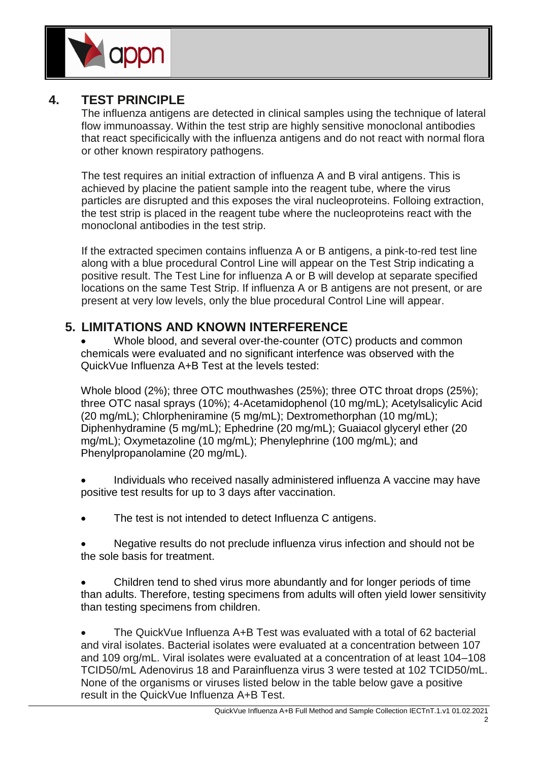

## **4. TEST PRINCIPLE**

The influenza antigens are detected in clinical samples using the technique of lateral flow immunoassay. Within the test strip are highly sensitive monoclonal antibodies that react specificically with the influenza antigens and do not react with normal flora or other known respiratory pathogens.

The test requires an initial extraction of influenza A and B viral antigens. This is achieved by placine the patient sample into the reagent tube, where the virus particles are disrupted and this exposes the viral nucleoproteins. Folloing extraction, the test strip is placed in the reagent tube where the nucleoproteins react with the monoclonal antibodies in the test strip.

If the extracted specimen contains influenza A or B antigens, a pink-to-red test line along with a blue procedural Control Line will appear on the Test Strip indicating a positive result. The Test Line for influenza A or B will develop at separate specified locations on the same Test Strip. If influenza A or B antigens are not present, or are present at very low levels, only the blue procedural Control Line will appear.

## **5. LIMITATIONS AND KNOWN INTERFERENCE**

 Whole blood, and several over-the-counter (OTC) products and common chemicals were evaluated and no significant interfence was observed with the QuickVue Influenza A+B Test at the levels tested:

Whole blood (2%); three OTC mouthwashes (25%); three OTC throat drops (25%); three OTC nasal sprays (10%); 4-Acetamidophenol (10 mg/mL); Acetylsalicylic Acid (20 mg/mL); Chlorpheniramine (5 mg/mL); Dextromethorphan (10 mg/mL); Diphenhydramine (5 mg/mL); Ephedrine (20 mg/mL); Guaiacol glyceryl ether (20 mg/mL); Oxymetazoline (10 mg/mL); Phenylephrine (100 mg/mL); and Phenylpropanolamine (20 mg/mL).

- Individuals who received nasally administered influenza A vaccine may have positive test results for up to 3 days after vaccination.
- The test is not intended to detect Influenza C antigens.
- Negative results do not preclude influenza virus infection and should not be the sole basis for treatment.
- Children tend to shed virus more abundantly and for longer periods of time than adults. Therefore, testing specimens from adults will often yield lower sensitivity than testing specimens from children.

 The QuickVue Influenza A+B Test was evaluated with a total of 62 bacterial and viral isolates. Bacterial isolates were evaluated at a concentration between 107 and 109 org/mL. Viral isolates were evaluated at a concentration of at least 104–108 TCID50/mL Adenovirus 18 and Parainfluenza virus 3 were tested at 102 TCID50/mL. None of the organisms or viruses listed below in the table below gave a positive result in the QuickVue Influenza A+B Test.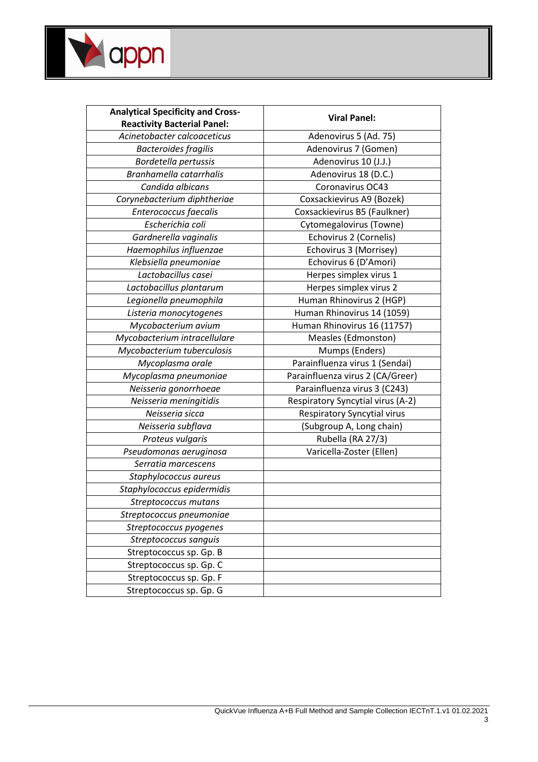| <b>Analytical Specificity and Cross-</b> | <b>Viral Panel:</b>                |  |  |
|------------------------------------------|------------------------------------|--|--|
| <b>Reactivity Bacterial Panel:</b>       |                                    |  |  |
| Acinetobacter calcoaceticus              | Adenovirus 5 (Ad. 75)              |  |  |
| <b>Bacteroides fragilis</b>              | Adenovirus 7 (Gomen)               |  |  |
| Bordetella pertussis                     | Adenovirus 10 (J.J.)               |  |  |
| Branhamella catarrhalis                  | Adenovirus 18 (D.C.)               |  |  |
| Candida albicans                         | Coronavirus OC43                   |  |  |
| Corynebacterium diphtheriae              | Coxsackievirus A9 (Bozek)          |  |  |
| Enterococcus faecalis                    | Coxsackievirus B5 (Faulkner)       |  |  |
| Escherichia coli                         | Cytomegalovirus (Towne)            |  |  |
| Gardnerella vaginalis                    | Echovirus 2 (Cornelis)             |  |  |
| Haemophilus influenzae                   | Echovirus 3 (Morrisey)             |  |  |
| Klebsiella pneumoniae                    | Echovirus 6 (D'Amori)              |  |  |
| Lactobacillus casei                      | Herpes simplex virus 1             |  |  |
| Lactobacillus plantarum                  | Herpes simplex virus 2             |  |  |
| Legionella pneumophila                   | Human Rhinovirus 2 (HGP)           |  |  |
| Listeria monocytogenes                   | Human Rhinovirus 14 (1059)         |  |  |
| Mycobacterium avium                      | Human Rhinovirus 16 (11757)        |  |  |
| Mycobacterium intracellulare             | Measles (Edmonston)                |  |  |
| Mycobacterium tuberculosis               | Mumps (Enders)                     |  |  |
| Mycoplasma orale                         | Parainfluenza virus 1 (Sendai)     |  |  |
| Mycoplasma pneumoniae                    | Parainfluenza virus 2 (CA/Greer)   |  |  |
| Neisseria gonorrhoeae                    | Parainfluenza virus 3 (C243)       |  |  |
| Neisseria meningitidis                   | Respiratory Syncytial virus (A-2)  |  |  |
| Neisseria sicca                          | <b>Respiratory Syncytial virus</b> |  |  |
| Neisseria subflava                       | (Subgroup A, Long chain)           |  |  |
| Proteus vulgaris                         | Rubella (RA 27/3)                  |  |  |
| Pseudomonas aeruginosa                   | Varicella-Zoster (Ellen)           |  |  |
| Serratia marcescens                      |                                    |  |  |
| Staphylococcus aureus                    |                                    |  |  |
| Staphylococcus epidermidis               |                                    |  |  |
| Streptococcus mutans                     |                                    |  |  |
| Streptococcus pneumoniae                 |                                    |  |  |
| Streptococcus pyogenes                   |                                    |  |  |
| Streptococcus sanguis                    |                                    |  |  |
| Streptococcus sp. Gp. B                  |                                    |  |  |
| Streptococcus sp. Gp. C                  |                                    |  |  |
| Streptococcus sp. Gp. F                  |                                    |  |  |
| Streptococcus sp. Gp. G                  |                                    |  |  |

dependent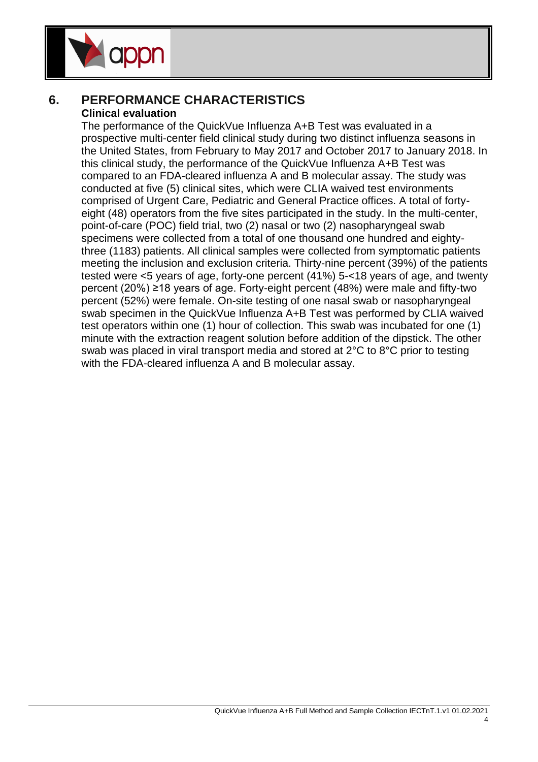

## **6. PERFORMANCE CHARACTERISTICS Clinical evaluation**

The performance of the QuickVue Influenza A+B Test was evaluated in a prospective multi-center field clinical study during two distinct influenza seasons in the United States, from February to May 2017 and October 2017 to January 2018. In this clinical study, the performance of the QuickVue Influenza A+B Test was compared to an FDA-cleared influenza A and B molecular assay. The study was conducted at five (5) clinical sites, which were CLIA waived test environments comprised of Urgent Care, Pediatric and General Practice offices. A total of fortyeight (48) operators from the five sites participated in the study. In the multi-center, point-of-care (POC) field trial, two (2) nasal or two (2) nasopharyngeal swab specimens were collected from a total of one thousand one hundred and eightythree (1183) patients. All clinical samples were collected from symptomatic patients meeting the inclusion and exclusion criteria. Thirty-nine percent (39%) of the patients tested were <5 years of age, forty-one percent (41%) 5-<18 years of age, and twenty percent (20%) ≥18 years of age. Forty-eight percent (48%) were male and fifty-two percent (52%) were female. On-site testing of one nasal swab or nasopharyngeal swab specimen in the QuickVue Influenza A+B Test was performed by CLIA waived test operators within one (1) hour of collection. This swab was incubated for one (1) minute with the extraction reagent solution before addition of the dipstick. The other swab was placed in viral transport media and stored at 2°C to 8°C prior to testing with the FDA-cleared influenza A and B molecular assay.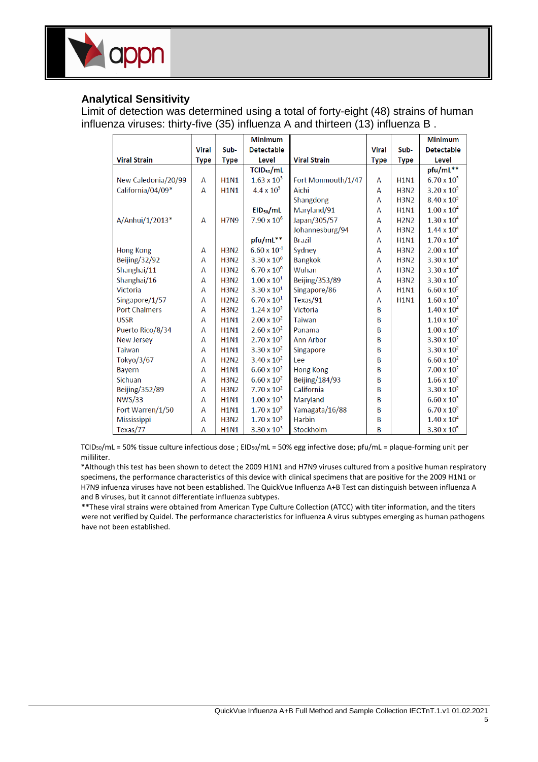# **appn**

#### **Analytical Sensitivity**

Limit of detection was determined using a total of forty-eight (48) strains of human influenza viruses: thirty-five (35) influenza A and thirteen (13) influenza B .

|                      |              |             | <b>Minimum</b>         |                       |              |             | <b>Minimum</b>       |
|----------------------|--------------|-------------|------------------------|-----------------------|--------------|-------------|----------------------|
|                      | <b>Viral</b> | Sub-        | <b>Detectable</b>      |                       | <b>Viral</b> | Sub-        | <b>Detectable</b>    |
| <b>Viral Strain</b>  | <b>Type</b>  | <b>Type</b> | Level                  | <b>Viral Strain</b>   | <b>Type</b>  | <b>Type</b> | Level                |
|                      |              |             | TCID <sub>50</sub> /mL |                       |              |             | pfu/mL**             |
| New Caledonia/20/99  | A            | <b>H1N1</b> | $1.63 \times 10^{3}$   | Fort Monmouth/1/47    | A            | <b>H1N1</b> | $6.70 \times 10^{3}$ |
| California/04/09*    | A            | <b>H1N1</b> | $4.4 \times 10^{3}$    | Aichi                 | A            | <b>H3N2</b> | $3.20 \times 10^{3}$ |
|                      |              |             |                        | Shangdong             | А            | <b>H3N2</b> | $8.40 \times 10^{3}$ |
|                      |              |             | EID <sub>50</sub> /mL  | Maryland/91           | A            | <b>H1N1</b> | $1.00 \times 10^{4}$ |
| A/Anhui/1/2013*      | A            | <b>H7N9</b> | $7.90 \times 10^{6}$   | Japan/305/57          | A            | <b>H2N2</b> | $1.30 \times 10^4$   |
|                      |              |             |                        | Johannesburg/94       | A            | <b>H3N2</b> | $1.44 \times 10^{4}$ |
|                      |              |             | pfu/mL**               | <b>Brazil</b>         | A            | <b>H1N1</b> | $1.70 \times 10^{4}$ |
| <b>Hong Kong</b>     | A            | <b>H3N2</b> | $6.60 \times 10^{-1}$  | Sydney                | A            | <b>H3N2</b> | $2.00 \times 10^4$   |
| Beijing/32/92        | A            | <b>H3N2</b> | $3.30 \times 10^{0}$   | <b>Bangkok</b>        | A            | <b>H3N2</b> | $3.30 \times 10^{4}$ |
| Shanghai/11          | A            | <b>H3N2</b> | $6.70 \times 10^{0}$   | Wuhan                 | A            | <b>H3N2</b> | $3.30 \times 10^{4}$ |
| Shanghai/16          | A            | <b>H3N2</b> | $1.00 \times 10^{1}$   | <b>Beijing/353/89</b> | А            | <b>H3N2</b> | $3.30 \times 10^5$   |
| Victoria             | A            | <b>H3N2</b> | $3.30 \times 10^{1}$   | Singapore/86          | A            | <b>H1N1</b> | $6.60 \times 10^{5}$ |
| Singapore/1/57       | A            | <b>H2N2</b> | $6.70 \times 10^{1}$   | Texas/91              | A            | <b>H1N1</b> | $1.60 \times 10^{7}$ |
| <b>Port Chalmers</b> | A            | <b>H3N2</b> | $1.24 \times 10^{2}$   | Victoria              | B            |             | $1.40 \times 10^{4}$ |
| <b>USSR</b>          | A            | <b>H1N1</b> | $2.00 \times 10^{2}$   | <b>Taiwan</b>         | B            |             | $1.10 \times 10^{2}$ |
| Puerto Rico/8/34     | A            | <b>H1N1</b> | $2.60 \times 10^{2}$   | Panama                | B            |             | $1.00 \times 10^{0}$ |
| <b>New Jersey</b>    | A            | <b>H1N1</b> | $2.70 \times 10^{2}$   | <b>Ann Arbor</b>      | B            |             | $3.30 \times 10^{2}$ |
| <b>Taiwan</b>        | A            | <b>H1N1</b> | $3.30 \times 10^{2}$   | <b>Singapore</b>      | B            |             | $3.30 \times 10^{2}$ |
| Tokyo/3/67           | A            | <b>H2N2</b> | $3.40 \times 10^{2}$   | Lee                   | В            |             | $6.60 \times 10^{2}$ |
| Bayern               | A            | <b>H1N1</b> | $6.60 \times 10^{2}$   | <b>Hong Kong</b>      | B            |             | $7.00 \times 10^{2}$ |
| Sichuan              | A            | <b>H3N2</b> | $6.60 \times 10^{2}$   | Beijing/184/93        | B            |             | $1.66 \times 10^{3}$ |
| Beijing/352/89       | A            | <b>H3N2</b> | $7.70 \times 10^{2}$   | California            | B            |             | $3.30 \times 10^{3}$ |
| <b>NWS/33</b>        | A            | <b>H1N1</b> | $1.00 \times 10^{3}$   | Maryland              | B            |             | $6.60 \times 10^{3}$ |
| Fort Warren/1/50     | A            | <b>H1N1</b> | $1.70 \times 10^{3}$   | Yamagata/16/88        | B            |             | $6.70 \times 10^{3}$ |
| <b>Mississippi</b>   | A            | <b>H3N2</b> | $1.70 \times 10^{3}$   | <b>Harbin</b>         | B            |             | $1.40 \times 10^{4}$ |
| Texas/77             | A            | <b>H1N1</b> | $3.30 \times 10^{3}$   | Stockholm             | B            |             | $3.30 \times 10^{5}$ |

TCID50/mL = 50% tissue culture infectious dose ; EID50/mL = 50% egg infective dose; pfu/mL = plaque-forming unit per milliliter.

\*Although this test has been shown to detect the 2009 H1N1 and H7N9 viruses cultured from a positive human respiratory specimens, the performance characteristics of this device with clinical specimens that are positive for the 2009 H1N1 or H7N9 infuenza viruses have not been established. The QuickVue Influenza A+B Test can distinguish between influenza A and B viruses, but it cannot differentiate influenza subtypes.

\*\*These viral strains were obtained from American Type Culture Collection (ATCC) with titer information, and the titers were not verified by Quidel. The performance characteristics for influenza A virus subtypes emerging as human pathogens have not been established.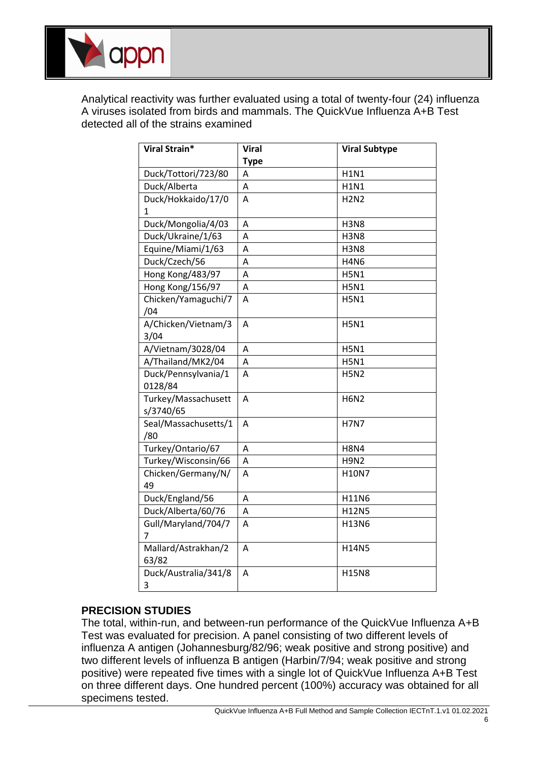Analytical reactivity was further evaluated using a total of twenty-four (24) influenza A viruses isolated from birds and mammals. The QuickVue Influenza A+B Test detected all of the strains examined

| Viral Strain*        | <b>Viral</b> | <b>Viral Subtype</b> |
|----------------------|--------------|----------------------|
|                      | <b>Type</b>  |                      |
| Duck/Tottori/723/80  | А            | <b>H1N1</b>          |
| Duck/Alberta         | A            | <b>H1N1</b>          |
| Duck/Hokkaido/17/0   | A            | <b>H2N2</b>          |
| 1                    |              |                      |
| Duck/Mongolia/4/03   | A            | <b>H3N8</b>          |
| Duck/Ukraine/1/63    | A            | <b>H3N8</b>          |
| Equine/Miami/1/63    | Α            | <b>H3N8</b>          |
| Duck/Czech/56        | A            | <b>H4N6</b>          |
| Hong Kong/483/97     | Α            | <b>H5N1</b>          |
| Hong Kong/156/97     | А            | <b>H5N1</b>          |
| Chicken/Yamaguchi/7  | А            | <b>H5N1</b>          |
| /04                  |              |                      |
| A/Chicken/Vietnam/3  | A            | <b>H5N1</b>          |
| 3/04                 |              |                      |
| A/Vietnam/3028/04    | Α            | <b>H5N1</b>          |
| A/Thailand/MK2/04    | A            | <b>H5N1</b>          |
| Duck/Pennsylvania/1  | A            | <b>H5N2</b>          |
| 0128/84              |              |                      |
| Turkey/Massachusett  | A            | <b>H6N2</b>          |
| s/3740/65            |              |                      |
| Seal/Massachusetts/1 | A            | <b>H7N7</b>          |
| /80                  |              |                      |
| Turkey/Ontario/67    | A            | <b>H8N4</b>          |
| Turkey/Wisconsin/66  | Α            | <b>H9N2</b>          |
| Chicken/Germany/N/   | A            | H10N7                |
| 49                   |              |                      |
| Duck/England/56      | А            | H11N6                |
| Duck/Alberta/60/76   | A            | <b>H12N5</b>         |
| Gull/Maryland/704/7  | A            | H13N6                |
| $\overline{7}$       |              |                      |
| Mallard/Astrakhan/2  | A            | H14N5                |
| 63/82                |              |                      |
| Duck/Australia/341/8 | А            | <b>H15N8</b>         |
| 3                    |              |                      |

#### **PRECISION STUDIES**

**appn** 

The total, within-run, and between-run performance of the QuickVue Influenza A+B Test was evaluated for precision. A panel consisting of two different levels of influenza A antigen (Johannesburg/82/96; weak positive and strong positive) and two different levels of influenza B antigen (Harbin/7/94; weak positive and strong positive) were repeated five times with a single lot of QuickVue Influenza A+B Test on three different days. One hundred percent (100%) accuracy was obtained for all specimens tested.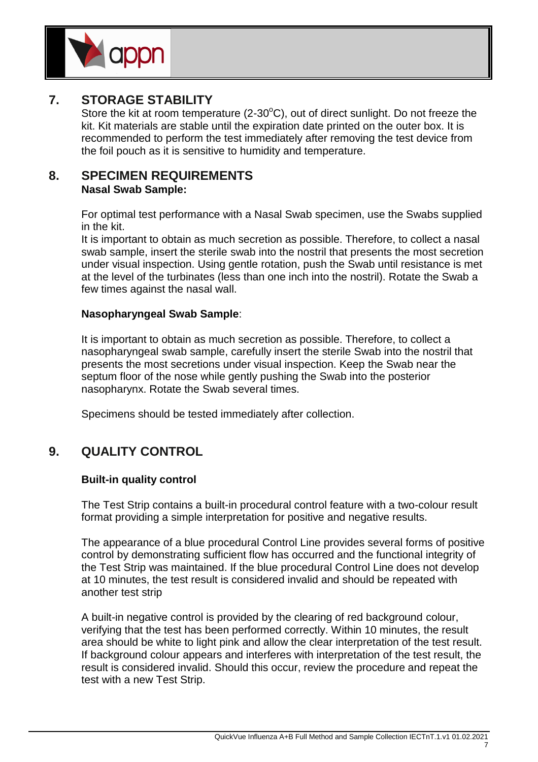

## **7. STORAGE STABILITY**

Store the kit at room temperature (2-30 $^{\circ}$ C), out of direct sunlight. Do not freeze the kit. Kit materials are stable until the expiration date printed on the outer box. It is recommended to perform the test immediately after removing the test device from the foil pouch as it is sensitive to humidity and temperature.

#### **8. SPECIMEN REQUIREMENTS Nasal Swab Sample:**

For optimal test performance with a Nasal Swab specimen, use the Swabs supplied in the kit.

It is important to obtain as much secretion as possible. Therefore, to collect a nasal swab sample, insert the sterile swab into the nostril that presents the most secretion under visual inspection. Using gentle rotation, push the Swab until resistance is met at the level of the turbinates (less than one inch into the nostril). Rotate the Swab a few times against the nasal wall.

#### **Nasopharyngeal Swab Sample**:

It is important to obtain as much secretion as possible. Therefore, to collect a nasopharyngeal swab sample, carefully insert the sterile Swab into the nostril that presents the most secretions under visual inspection. Keep the Swab near the septum floor of the nose while gently pushing the Swab into the posterior nasopharynx. Rotate the Swab several times.

Specimens should be tested immediately after collection.

## **9. QUALITY CONTROL**

#### **Built-in quality control**

The Test Strip contains a built-in procedural control feature with a two-colour result format providing a simple interpretation for positive and negative results.

The appearance of a blue procedural Control Line provides several forms of positive control by demonstrating sufficient flow has occurred and the functional integrity of the Test Strip was maintained. If the blue procedural Control Line does not develop at 10 minutes, the test result is considered invalid and should be repeated with another test strip

A built-in negative control is provided by the clearing of red background colour, verifying that the test has been performed correctly. Within 10 minutes, the result area should be white to light pink and allow the clear interpretation of the test result. If background colour appears and interferes with interpretation of the test result, the result is considered invalid. Should this occur, review the procedure and repeat the test with a new Test Strip.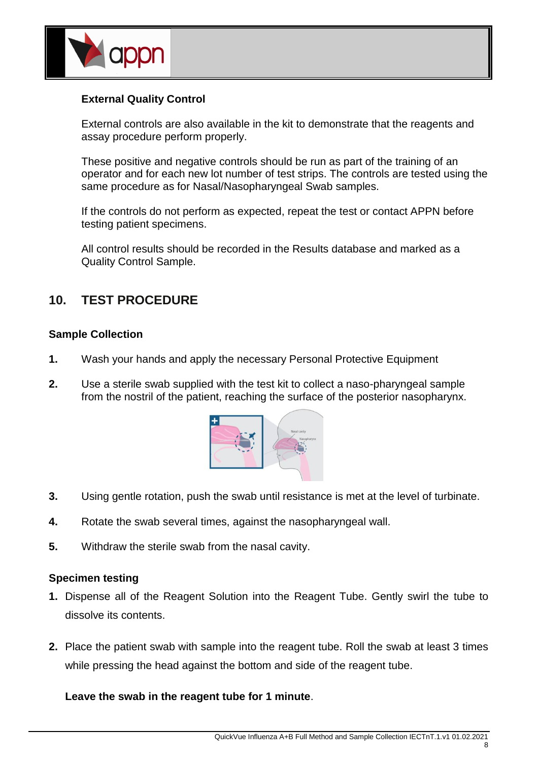

#### **External Quality Control**

External controls are also available in the kit to demonstrate that the reagents and assay procedure perform properly.

These positive and negative controls should be run as part of the training of an operator and for each new lot number of test strips. The controls are tested using the same procedure as for Nasal/Nasopharyngeal Swab samples.

If the controls do not perform as expected, repeat the test or contact APPN before testing patient specimens.

All control results should be recorded in the Results database and marked as a Quality Control Sample.

## **10. TEST PROCEDURE**

#### **Sample Collection**

- **1.** Wash your hands and apply the necessary Personal Protective Equipment
- **2.** Use a sterile swab supplied with the test kit to collect a naso-pharyngeal sample from the nostril of the patient, reaching the surface of the posterior nasopharynx.



- **3.** Using gentle rotation, push the swab until resistance is met at the level of turbinate.
- **4.** Rotate the swab several times, against the nasopharyngeal wall.
- **5.** Withdraw the sterile swab from the nasal cavity.

#### **Specimen testing**

- **1.** Dispense all of the Reagent Solution into the Reagent Tube. Gently swirl the tube to dissolve its contents.
- **2.** Place the patient swab with sample into the reagent tube. Roll the swab at least 3 times while pressing the head against the bottom and side of the reagent tube.

#### **Leave the swab in the reagent tube for 1 minute**.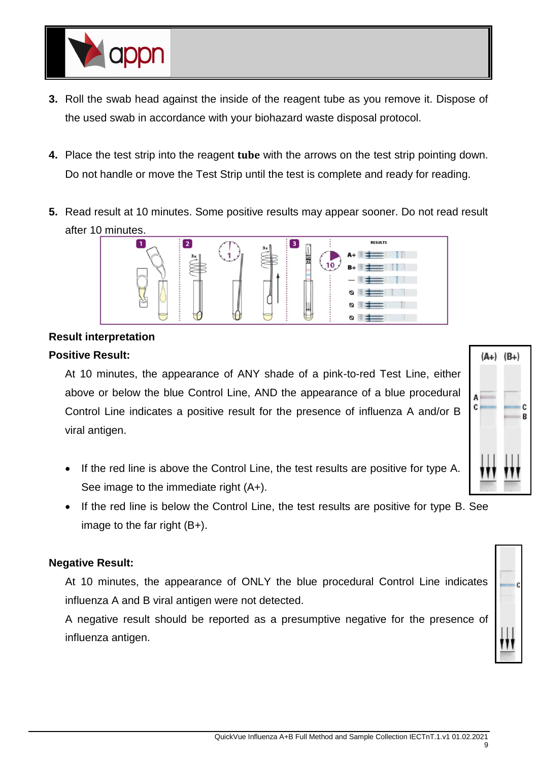

- **3.** Roll the swab head against the inside of the reagent tube as you remove it. Dispose of the used swab in accordance with your biohazard waste disposal protocol.
- **4.** Place the test strip into the reagent **tube** with the arrows on the test strip pointing down. Do not handle or move the Test Strip until the test is complete and ready for reading.
- **5.** Read result at 10 minutes. Some positive results may appear sooner. Do not read result after 10 minutes.



## **Result interpretation Positive Result:**

At 10 minutes, the appearance of ANY shade of a pink-to-red Test Line, either above or below the blue Control Line, AND the appearance of a blue procedural Control Line indicates a positive result for the presence of influenza A and/or B viral antigen.

- If the red line is above the Control Line, the test results are positive for type A. See image to the immediate right (A+).
- If the red line is below the Control Line, the test results are positive for type B. See image to the far right  $(B+)$ .

### **Negative Result:**

At 10 minutes, the appearance of ONLY the blue procedural Control Line indicates influenza A and B viral antigen were not detected.

A negative result should be reported as a presumptive negative for the presence of influenza antigen.



9